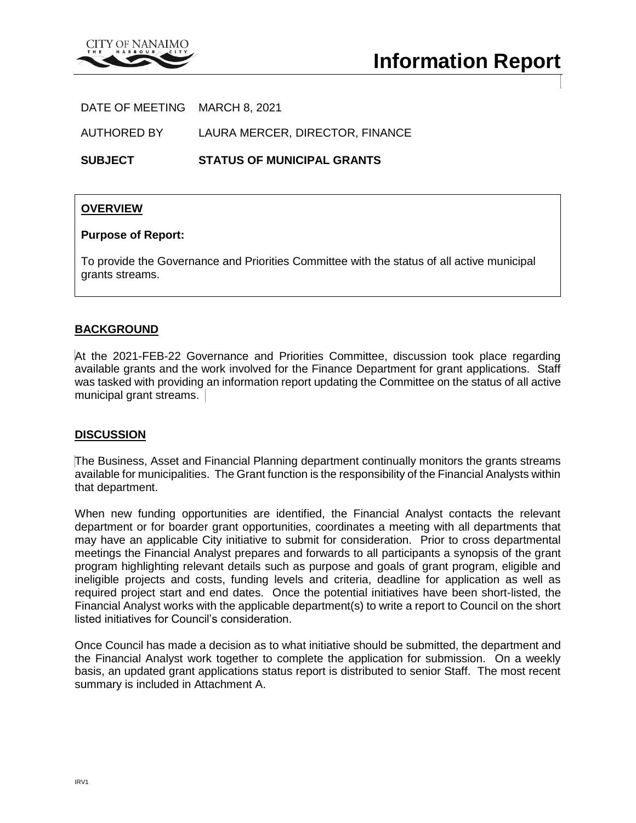

DATE OF MEETING MARCH 8, 2021

AUTHORED BY LAURA MERCER, DIRECTOR, FINANCE

**SUBJECT STATUS OF MUNICIPAL GRANTS**

### **OVERVIEW**

#### **Purpose of Report:**

To provide the Governance and Priorities Committee with the status of all active municipal grants streams.

### **BACKGROUND**

At the 2021-FEB-22 Governance and Priorities Committee, discussion took place regarding available grants and the work involved for the Finance Department for grant applications. Staff was tasked with providing an information report updating the Committee on the status of all active municipal grant streams.

### **DISCUSSION**

The Business, Asset and Financial Planning department continually monitors the grants streams available for municipalities. The Grant function is the responsibility of the Financial Analysts within that department.

When new funding opportunities are identified, the Financial Analyst contacts the relevant department or for boarder grant opportunities, coordinates a meeting with all departments that may have an applicable City initiative to submit for consideration. Prior to cross departmental meetings the Financial Analyst prepares and forwards to all participants a synopsis of the grant program highlighting relevant details such as purpose and goals of grant program, eligible and ineligible projects and costs, funding levels and criteria, deadline for application as well as required project start and end dates. Once the potential initiatives have been short-listed, the Financial Analyst works with the applicable department(s) to write a report to Council on the short listed initiatives for Council's consideration.

Once Council has made a decision as to what initiative should be submitted, the department and the Financial Analyst work together to complete the application for submission. On a weekly basis, an updated grant applications status report is distributed to senior Staff. The most recent summary is included in Attachment A.